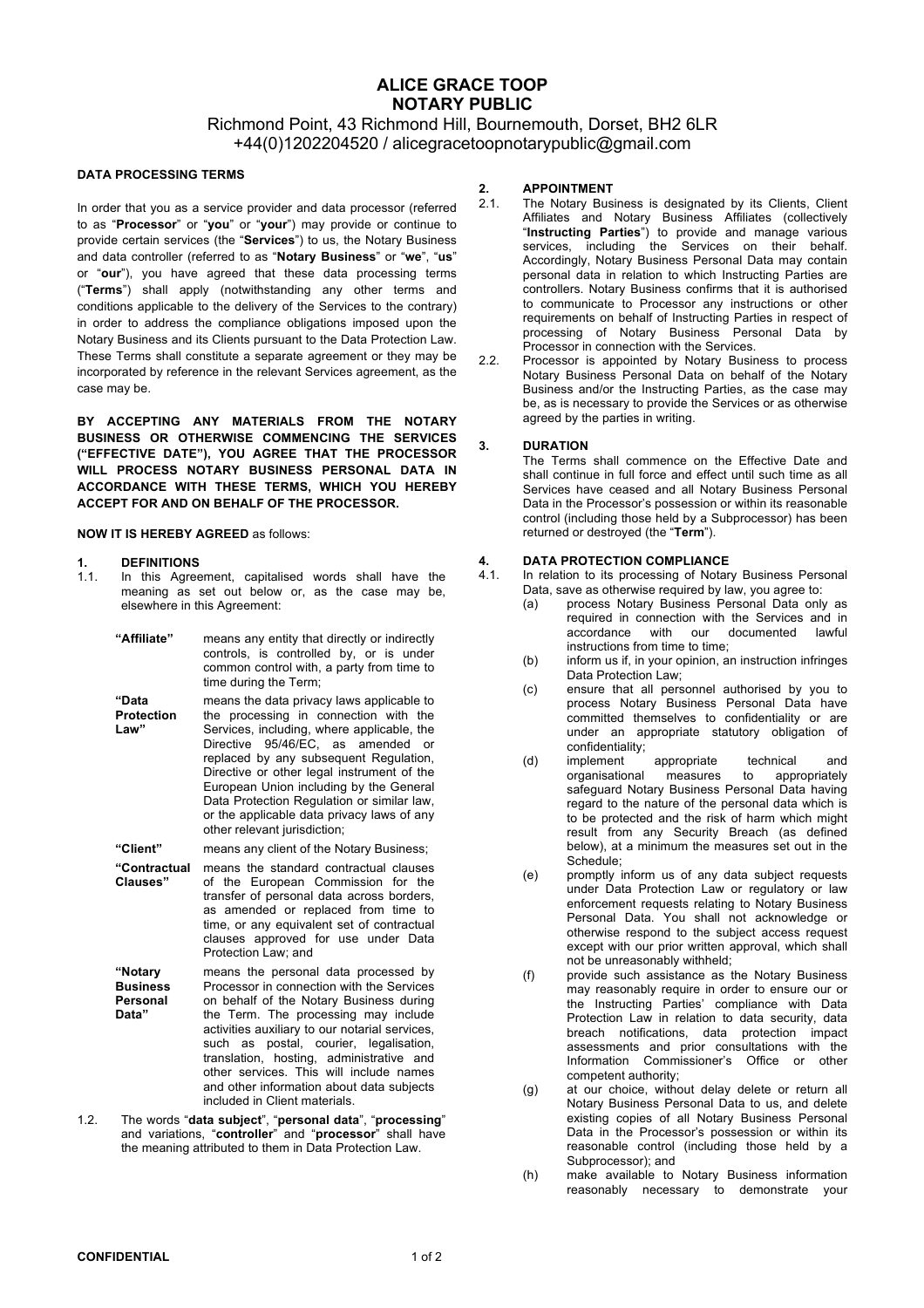## Richmond Point, 43 Richmond Hill, Bournemouth, Dorset, BH2 6LR +44(0)1202204520 / alicegracetoopnotarypublic@gmail.com

#### **DATA PROCESSING TERMS**

In order that you as a service provider and data processor (referred to as "**Processor**" or "**you**" or "**your**") may provide or continue to provide certain services (the "**Services**") to us, the Notary Business and data controller (referred to as "**Notary Business**" or "**we**", "**us**" or "**our**"), you have agreed that these data processing terms ("**Terms**") shall apply (notwithstanding any other terms and conditions applicable to the delivery of the Services to the contrary) in order to address the compliance obligations imposed upon the Notary Business and its Clients pursuant to the Data Protection Law. These Terms shall constitute a separate agreement or they may be incorporated by reference in the relevant Services agreement, as the case may be.

**BY ACCEPTING ANY MATERIALS FROM THE NOTARY BUSINESS OR OTHERWISE COMMENCING THE SERVICES ("EFFECTIVE DATE"), YOU AGREE THAT THE PROCESSOR WILL PROCESS NOTARY BUSINESS PERSONAL DATA IN ACCORDANCE WITH THESE TERMS, WHICH YOU HEREBY ACCEPT FOR AND ON BEHALF OF THE PROCESSOR.**

#### **NOW IT IS HEREBY AGREED** as follows:

# **1. DEFINITIONS**

In this Agreement, capitalised words shall have the meaning as set out below or, as the case may be, elsewhere in this Agreement:

| "Affiliate"                                     | means any entity that directly or indirectly<br>controls, is controlled by, or is under<br>common control with, a party from time to<br>time during the Term;                                                                                                                                                                                                                                                                                      |
|-------------------------------------------------|----------------------------------------------------------------------------------------------------------------------------------------------------------------------------------------------------------------------------------------------------------------------------------------------------------------------------------------------------------------------------------------------------------------------------------------------------|
| "Data<br><b>Protection</b><br>Law"              | means the data privacy laws applicable to<br>the processing in connection with the<br>Services, including, where applicable, the<br>95/46/EC, as amended<br>Directive<br>$\alpha$ r<br>replaced by any subsequent Regulation,<br>Directive or other legal instrument of the<br>European Union including by the General<br>Data Protection Regulation or similar law,<br>or the applicable data privacy laws of any<br>other relevant jurisdiction; |
| "Client"                                        | means any client of the Notary Business:                                                                                                                                                                                                                                                                                                                                                                                                           |
| "Contractual<br>Clauses"                        | means the standard contractual clauses<br>of the European Commission for the<br>transfer of personal data across borders,<br>as amended or replaced from time to<br>time, or any equivalent set of contractual<br>clauses approved for use under Data<br>Protection Law; and                                                                                                                                                                       |
| "Notary<br><b>Business</b><br>Personal<br>Data" | means the personal data processed by<br>Processor in connection with the Services<br>on behalf of the Notary Business during<br>the Term. The processing may include<br>activities auxiliary to our notarial services,<br>such as postal, courier, legalisation,<br>translation, hosting, administrative and<br>other services. This will include names<br>and other information about data subjects<br>included in Client materials.              |

1.2. The words "**data subject**", "**personal data**", "**processing**" and variations, "**controller**" and "**processor**" shall have the meaning attributed to them in Data Protection Law.

#### **2. APPOINTMENT**

- 2.1. The Notary Business is designated by its Clients, Client Affiliates and Notary Business Affiliates (collectively "**Instructing Parties**") to provide and manage various services, including the Services on their behalf. Accordingly, Notary Business Personal Data may contain personal data in relation to which Instructing Parties are controllers. Notary Business confirms that it is authorised to communicate to Processor any instructions or other requirements on behalf of Instructing Parties in respect of processing of Notary Business Personal Data by Processor in connection with the Services.
- 2.2. Processor is appointed by Notary Business to process Notary Business Personal Data on behalf of the Notary Business and/or the Instructing Parties, as the case may be, as is necessary to provide the Services or as otherwise agreed by the parties in writing.

#### **3. DURATION**

The Terms shall commence on the Effective Date and shall continue in full force and effect until such time as all Services have ceased and all Notary Business Personal Data in the Processor's possession or within its reasonable control (including those held by a Subprocessor) has been returned or destroyed (the "**Term**").

# **4. DATA PROTECTION COMPLIANCE**

- In relation to its processing of Notary Business Personal Data, save as otherwise required by law, you agree to:
	- (a) process Notary Business Personal Data only as required in connection with the Services and in accordance with our documented lawful instructions from time to time;
	- (b) inform us if, in your opinion, an instruction infringes Data Protection Law;
	- (c) ensure that all personnel authorised by you to process Notary Business Personal Data have committed themselves to confidentiality or are under an appropriate statutory obligation of confidentiality;
	- (d) implement appropriate technical and<br>organisational measures to appropriately organisational safeguard Notary Business Personal Data having regard to the nature of the personal data which is to be protected and the risk of harm which might result from any Security Breach (as defined below), at a minimum the measures set out in the Schedule;
	- (e) promptly inform us of any data subject requests under Data Protection Law or regulatory or law enforcement requests relating to Notary Business Personal Data. You shall not acknowledge or otherwise respond to the subject access request except with our prior written approval, which shall not be unreasonably withheld;
	- (f) provide such assistance as the Notary Business may reasonably require in order to ensure our or the Instructing Parties' compliance with Data Protection Law in relation to data security, data breach notifications, data protection impact assessments and prior consultations with the Information Commissioner's Office or other competent authority;
	- (g) at our choice, without delay delete or return all Notary Business Personal Data to us, and delete existing copies of all Notary Business Personal Data in the Processor's possession or within its reasonable control (including those held by a Subprocessor); and
	- (h) make available to Notary Business information reasonably necessary to demonstrate your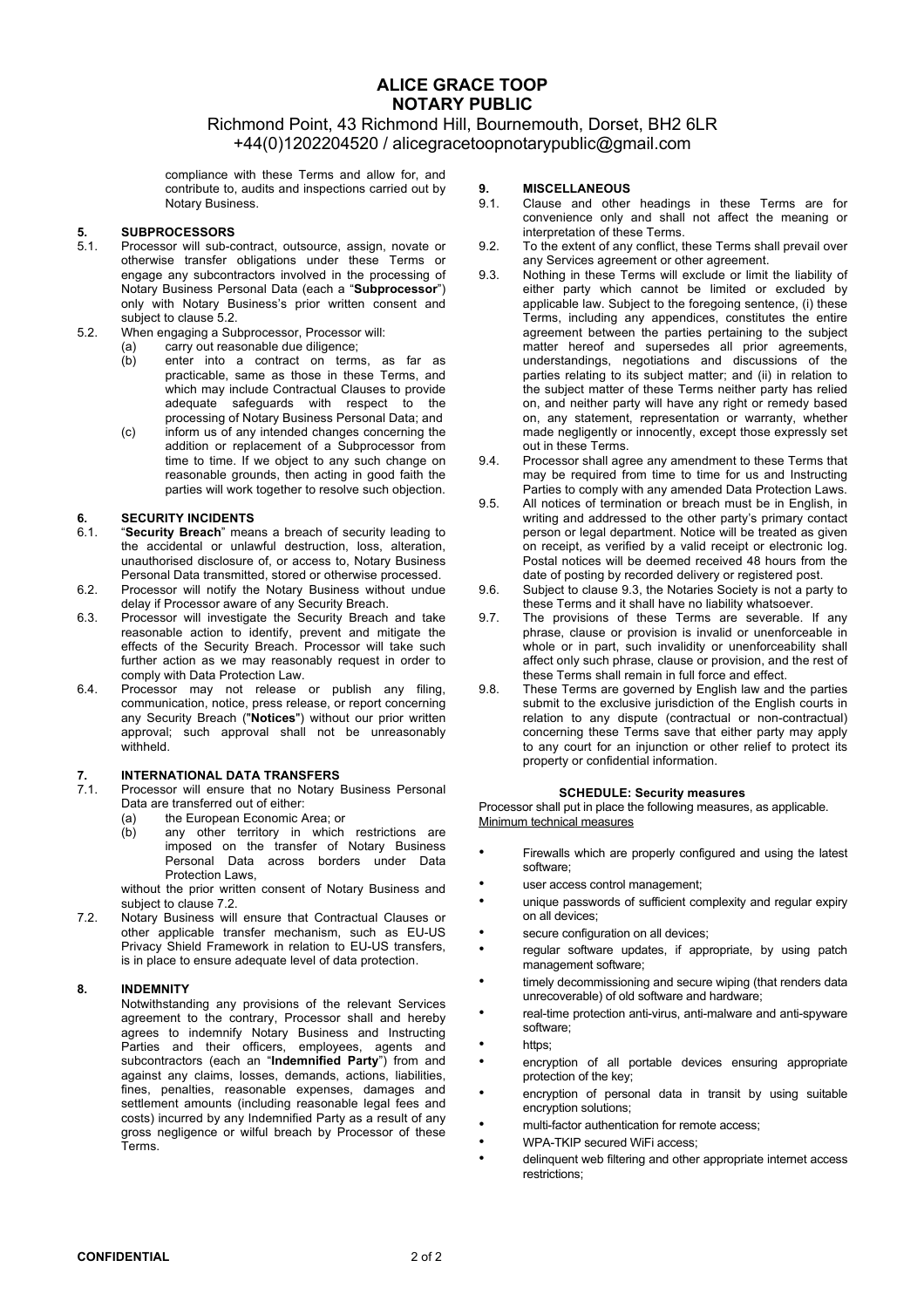### Richmond Point, 43 Richmond Hill, Bournemouth, Dorset, BH2 6LR +44(0)1202204520 / alicegracetoopnotarypublic@gmail.com

compliance with these Terms and allow for, and contribute to, audits and inspections carried out by Notary Business.

# **5. SUBPROCESSORS**

- 5.1. Processor will sub-contract, outsource, assign, novate or otherwise transfer obligations under these Terms or engage any subcontractors involved in the processing of Notary Business Personal Data (each a "**Subprocessor**") only with Notary Business's prior written consent and subject to clause 5.2.
- 5.2. When engaging a Subprocessor, Processor will:
	- (a) carry out reasonable due diligence;
	- (b) enter into a contract on terms, as far as practicable, same as those in these Terms, and which may include Contractual Clauses to provide adequate safeguards with respect to the processing of Notary Business Personal Data; and
	- (c) inform us of any intended changes concerning the addition or replacement of a Subprocessor from time to time. If we object to any such change on reasonable grounds, then acting in good faith the parties will work together to resolve such objection.

#### **6. SECURITY INCIDENTS**

- 6.1. "**Security Breach**" means a breach of security leading to the accidental or unlawful destruction, loss, alteration, unauthorised disclosure of, or access to, Notary Business Personal Data transmitted, stored or otherwise processed.
- 6.2. Processor will notify the Notary Business without undue delay if Processor aware of any Security Breach.
- 6.3. Processor will investigate the Security Breach and take reasonable action to identify, prevent and mitigate the effects of the Security Breach. Processor will take such further action as we may reasonably request in order to comply with Data Protection Law.
- 6.4. Processor may not release or publish any filing, communication, notice, press release, or report concerning any Security Breach ("**Notices**") without our prior written approval; such approval shall not be unreasonably withheld.

# **7. INTERNATIONAL DATA TRANSFERS**

- Processor will ensure that no Notary Business Personal Data are transferred out of either:
	- (a) the European Economic Area; or<br>(b) any other territory in which
	- any other territory in which restrictions are imposed on the transfer of Notary Business Personal Data across borders under Data Protection Laws,

without the prior written consent of Notary Business and subject to clause 7.2.

7.2. Notary Business will ensure that Contractual Clauses or other applicable transfer mechanism, such as EU-US Privacy Shield Framework in relation to EU-US transfers, is in place to ensure adequate level of data protection.

#### **8. INDEMNITY**

Notwithstanding any provisions of the relevant Services agreement to the contrary, Processor shall and hereby agrees to indemnify Notary Business and Instructing Parties and their officers, employees, agents and subcontractors (each an "**Indemnified Party**") from and against any claims, losses, demands, actions, liabilities, fines, penalties, reasonable expenses, damages and settlement amounts (including reasonable legal fees and costs) incurred by any Indemnified Party as a result of any gross negligence or wilful breach by Processor of these Terms.

#### **9. MISCELLANEOUS**

- 9.1. Clause and other headings in these Terms are for convenience only and shall not affect the meaning or interpretation of these Terms.
- 9.2. To the extent of any conflict, these Terms shall prevail over any Services agreement or other agreement.
- 9.3. Nothing in these Terms will exclude or limit the liability of either party which cannot be limited or excluded by applicable law. Subject to the foregoing sentence, (i) these Terms, including any appendices, constitutes the entire agreement between the parties pertaining to the subject matter hereof and supersedes all prior agreements, understandings, negotiations and discussions of the parties relating to its subject matter; and (ii) in relation to the subiect matter of these Terms neither party has relied on, and neither party will have any right or remedy based on, any statement, representation or warranty, whether made negligently or innocently, except those expressly set out in these Terms.
- 9.4. Processor shall agree any amendment to these Terms that may be required from time to time for us and Instructing Parties to comply with any amended Data Protection Laws.
- 9.5. All notices of termination or breach must be in English, in writing and addressed to the other party's primary contact person or legal department. Notice will be treated as given on receipt, as verified by a valid receipt or electronic log. Postal notices will be deemed received 48 hours from the date of posting by recorded delivery or registered post.
- 9.6. Subject to clause 9.3, the Notaries Society is not a party to these Terms and it shall have no liability whatsoever.
- 9.7. The provisions of these Terms are severable. If any phrase, clause or provision is invalid or unenforceable in .<br>whole or in part, such invalidity or unenforceability shall affect only such phrase, clause or provision, and the rest of these Terms shall remain in full force and effect.
- 9.8. These Terms are governed by English law and the parties submit to the exclusive jurisdiction of the English courts in relation to any dispute (contractual or non-contractual) concerning these Terms save that either party may apply to any court for an injunction or other relief to protect its property or confidential information.

#### **SCHEDULE: Security measures**

Processor shall put in place the following measures, as applicable. Minimum technical measures

- Firewalls which are properly configured and using the latest software;
- user access control management:
- unique passwords of sufficient complexity and regular expiry on all devices;
- secure configuration on all devices;
- regular software updates, if appropriate, by using patch management software;
- timely decommissioning and secure wiping (that renders data unrecoverable) of old software and hardware;
- real-time protection anti-virus, anti-malware and anti-spyware software;
- https:
- encryption of all portable devices ensuring appropriate protection of the key;
- encryption of personal data in transit by using suitable encryption solutions;
- multi-factor authentication for remote access;
- WPA-TKIP secured WiFi access;
- delinquent web filtering and other appropriate internet access restrictions;